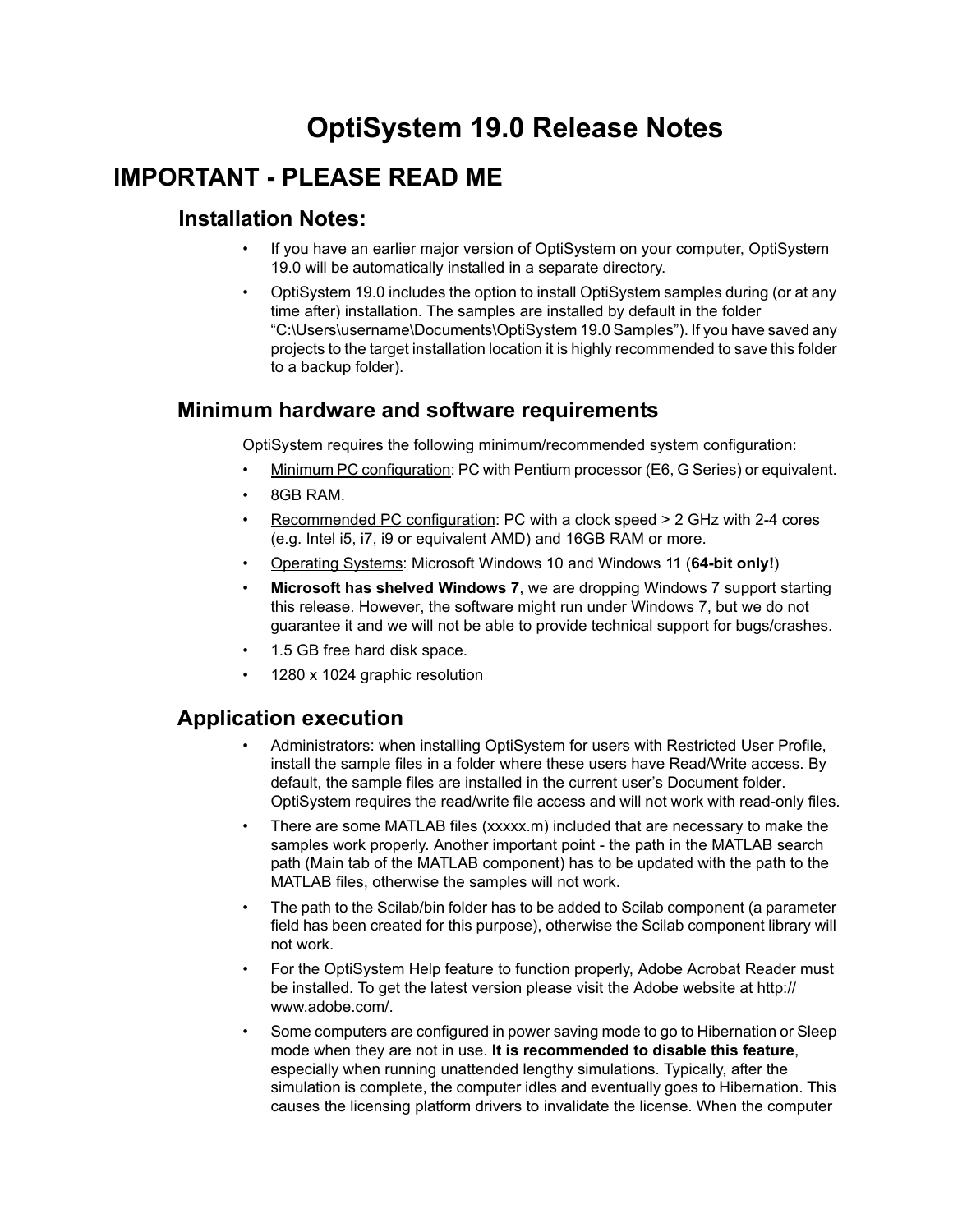# **OptiSystem 19.0 Release Notes**

## **IMPORTANT - PLEASE READ ME**

#### **Installation Notes:**

- If you have an earlier major version of OptiSystem on your computer, OptiSystem 19.0 will be automatically installed in a separate directory.
- OptiSystem 19.0 includes the option to install OptiSystem samples during (or at any time after) installation. The samples are installed by default in the folder "C:\Users\username\Documents\OptiSystem 19.0 Samples"). If you have saved any projects to the target installation location it is highly recommended to save this folder to a backup folder).

#### **Minimum hardware and software requirements**

OptiSystem requires the following minimum/recommended system configuration:

- Minimum PC configuration: PC with Pentium processor (E6, G Series) or equivalent.
- 8GB RAM.
- Recommended PC configuration: PC with a clock speed > 2 GHz with 2-4 cores (e.g. Intel i5, i7, i9 or equivalent AMD) and 16GB RAM or more.
- Operating Systems: Microsoft Windows 10 and Windows 11 (**64-bit only!**)
- **Microsoft has shelved Windows 7**, we are dropping Windows 7 support starting this release. However, the software might run under Windows 7, but we do not guarantee it and we will not be able to provide technical support for bugs/crashes.
- 1.5 GB free hard disk space.
- 1280 x 1024 graphic resolution

#### **Application execution**

- Administrators: when installing OptiSystem for users with Restricted User Profile, install the sample files in a folder where these users have Read/Write access. By default, the sample files are installed in the current user's Document folder. OptiSystem requires the read/write file access and will not work with read-only files.
- There are some MATLAB files (xxxxx.m) included that are necessary to make the samples work properly. Another important point - the path in the MATLAB search path (Main tab of the MATLAB component) has to be updated with the path to the MATLAB files, otherwise the samples will not work.
- The path to the Scilab/bin folder has to be added to Scilab component (a parameter field has been created for this purpose), otherwise the Scilab component library will not work.
- For the OptiSystem Help feature to function properly, Adobe Acrobat Reader must be installed. To get the latest version please visit the Adobe website at http:// www.adobe.com/.
- Some computers are configured in power saving mode to go to Hibernation or Sleep mode when they are not in use. **It is recommended to disable this feature**, especially when running unattended lengthy simulations. Typically, after the simulation is complete, the computer idles and eventually goes to Hibernation. This causes the licensing platform drivers to invalidate the license. When the computer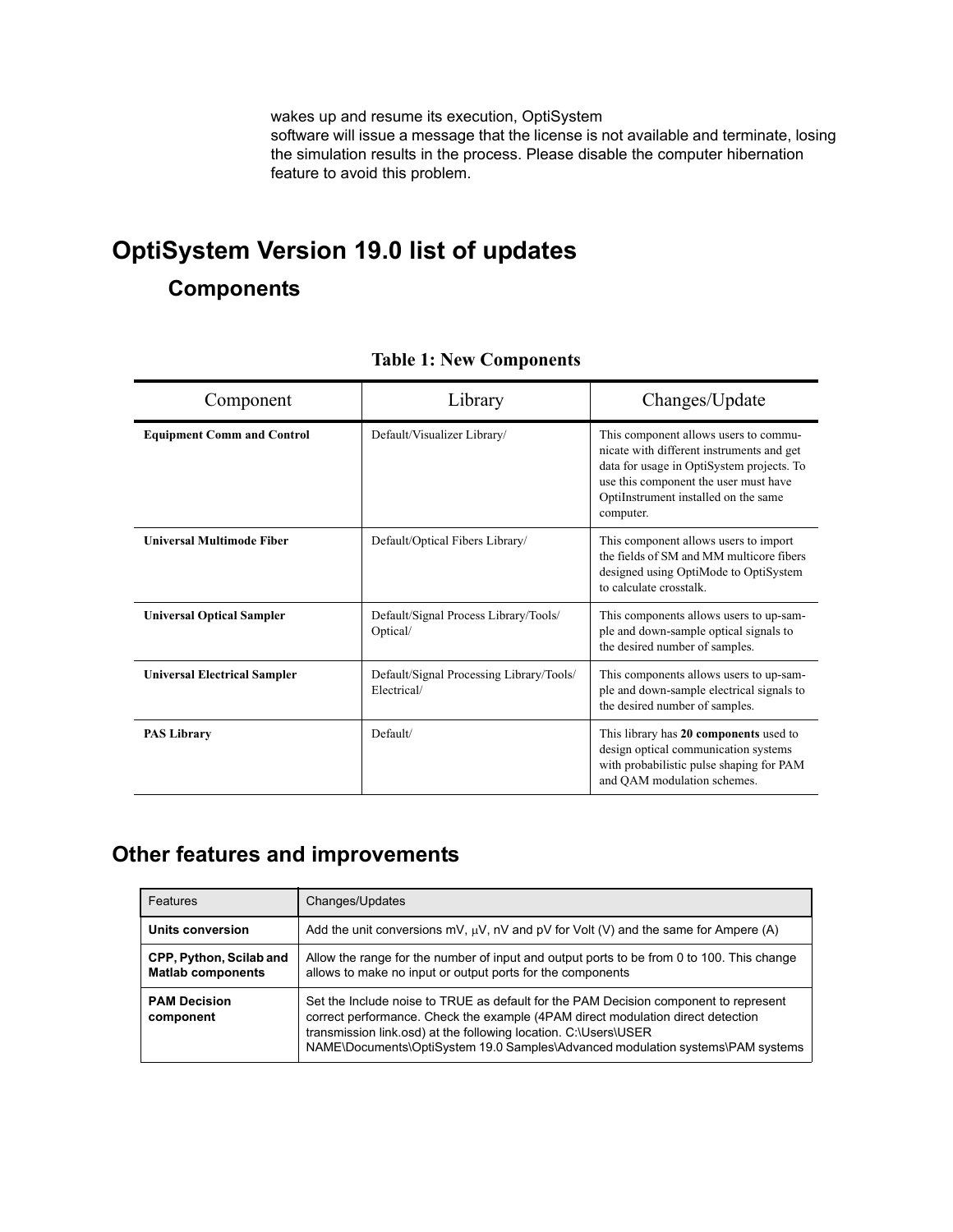wakes up and resume its execution, OptiSystem software will issue a message that the license is not available and terminate, losing the simulation results in the process. Please disable the computer hibernation feature to avoid this problem.

# **OptiSystem Version 19.0 list of updates**

## **Components**

| Component                           | Library                                                 | Changes/Update                                                                                                                                                                                                                |
|-------------------------------------|---------------------------------------------------------|-------------------------------------------------------------------------------------------------------------------------------------------------------------------------------------------------------------------------------|
| <b>Equipment Comm and Control</b>   | Default/Visualizer Library/                             | This component allows users to commu-<br>nicate with different instruments and get<br>data for usage in OptiSystem projects. To<br>use this component the user must have<br>OptiInstrument installed on the same<br>computer. |
| <b>Universal Multimode Fiber</b>    | Default/Optical Fibers Library/                         | This component allows users to import<br>the fields of SM and MM multicore fibers<br>designed using OptiMode to OptiSystem<br>to calculate crosstalk.                                                                         |
| <b>Universal Optical Sampler</b>    | Default/Signal Process Library/Tools/<br>Optical/       | This components allows users to up-sam-<br>ple and down-sample optical signals to<br>the desired number of samples.                                                                                                           |
| <b>Universal Electrical Sampler</b> | Default/Signal Processing Library/Tools/<br>Electrical/ | This components allows users to up-sam-<br>ple and down-sample electrical signals to<br>the desired number of samples.                                                                                                        |
| <b>PAS Library</b>                  | Default/                                                | This library has 20 components used to<br>design optical communication systems<br>with probabilistic pulse shaping for PAM<br>and QAM modulation schemes.                                                                     |

#### **Table 1: New Components**

## **Other features and improvements**

| Features                                            | Changes/Updates                                                                                                                                                                                                                                                                                                              |
|-----------------------------------------------------|------------------------------------------------------------------------------------------------------------------------------------------------------------------------------------------------------------------------------------------------------------------------------------------------------------------------------|
| Units conversion                                    | Add the unit conversions mV, $\mu$ V, nV and pV for Volt (V) and the same for Ampere (A)                                                                                                                                                                                                                                     |
| CPP, Python, Scilab and<br><b>Matlab components</b> | Allow the range for the number of input and output ports to be from 0 to 100. This change<br>allows to make no input or output ports for the components                                                                                                                                                                      |
| <b>PAM Decision</b><br>component                    | Set the Include noise to TRUE as default for the PAM Decision component to represent<br>correct performance. Check the example (4PAM direct modulation direct detection<br>transmission link.osd) at the following location. C:\Users\USER<br>NAME\Documents\OptiSystem 19.0 Samples\Advanced modulation systems\PAM systems |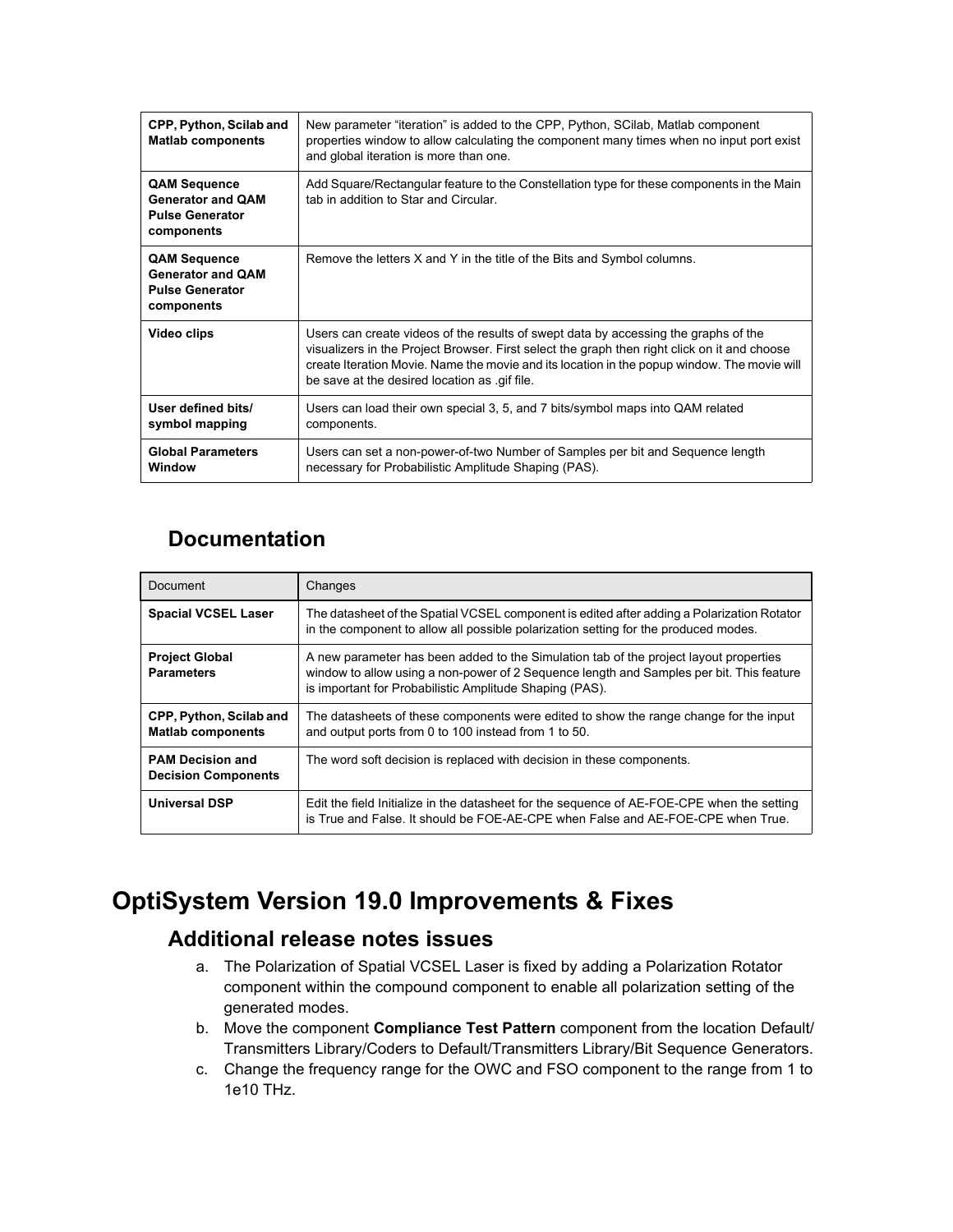| CPP, Python, Scilab and<br><b>Matlab components</b>                                     | New parameter "iteration" is added to the CPP, Python, SCilab, Matlab component<br>properties window to allow calculating the component many times when no input port exist<br>and global iteration is more than one.                                                                                                              |
|-----------------------------------------------------------------------------------------|------------------------------------------------------------------------------------------------------------------------------------------------------------------------------------------------------------------------------------------------------------------------------------------------------------------------------------|
| <b>QAM Sequence</b><br><b>Generator and OAM</b><br><b>Pulse Generator</b><br>components | Add Square/Rectangular feature to the Constellation type for these components in the Main<br>tab in addition to Star and Circular                                                                                                                                                                                                  |
| <b>QAM Sequence</b><br><b>Generator and QAM</b><br><b>Pulse Generator</b><br>components | Remove the letters X and Y in the title of the Bits and Symbol columns.                                                                                                                                                                                                                                                            |
| Video clips                                                                             | Users can create videos of the results of swept data by accessing the graphs of the<br>visualizers in the Project Browser. First select the graph then right click on it and choose<br>create Iteration Movie. Name the movie and its location in the popup window. The movie will<br>be save at the desired location as gif file. |
| User defined bits/<br>symbol mapping                                                    | Users can load their own special 3, 5, and 7 bits/symbol maps into QAM related<br>components.                                                                                                                                                                                                                                      |
| <b>Global Parameters</b><br>Window                                                      | Users can set a non-power-of-two Number of Samples per bit and Sequence length<br>necessary for Probabilistic Amplitude Shaping (PAS).                                                                                                                                                                                             |

## **Documentation**

| Document                                              | Changes                                                                                                                                                                                                                                      |
|-------------------------------------------------------|----------------------------------------------------------------------------------------------------------------------------------------------------------------------------------------------------------------------------------------------|
| <b>Spacial VCSEL Laser</b>                            | The datasheet of the Spatial VCSEL component is edited after adding a Polarization Rotator<br>in the component to allow all possible polarization setting for the produced modes.                                                            |
| <b>Project Global</b><br><b>Parameters</b>            | A new parameter has been added to the Simulation tab of the project layout properties<br>window to allow using a non-power of 2 Sequence length and Samples per bit. This feature<br>is important for Probabilistic Amplitude Shaping (PAS). |
| CPP, Python, Scilab and<br><b>Matlab components</b>   | The datasheets of these components were edited to show the range change for the input<br>and output ports from 0 to 100 instead from 1 to 50.                                                                                                |
| <b>PAM Decision and</b><br><b>Decision Components</b> | The word soft decision is replaced with decision in these components.                                                                                                                                                                        |
| <b>Universal DSP</b>                                  | Edit the field Initialize in the datasheet for the sequence of AE-FOE-CPE when the setting<br>is True and False. It should be FOE-AE-CPE when False and AE-FOE-CPE when True.                                                                |

# **OptiSystem Version 19.0 Improvements & Fixes**

### **Additional release notes issues**

- a. The Polarization of Spatial VCSEL Laser is fixed by adding a Polarization Rotator component within the compound component to enable all polarization setting of the generated modes.
- b. Move the component **Compliance Test Pattern** component from the location Default/ Transmitters Library/Coders to Default/Transmitters Library/Bit Sequence Generators.
- c. Change the frequency range for the OWC and FSO component to the range from 1 to 1e10 THz.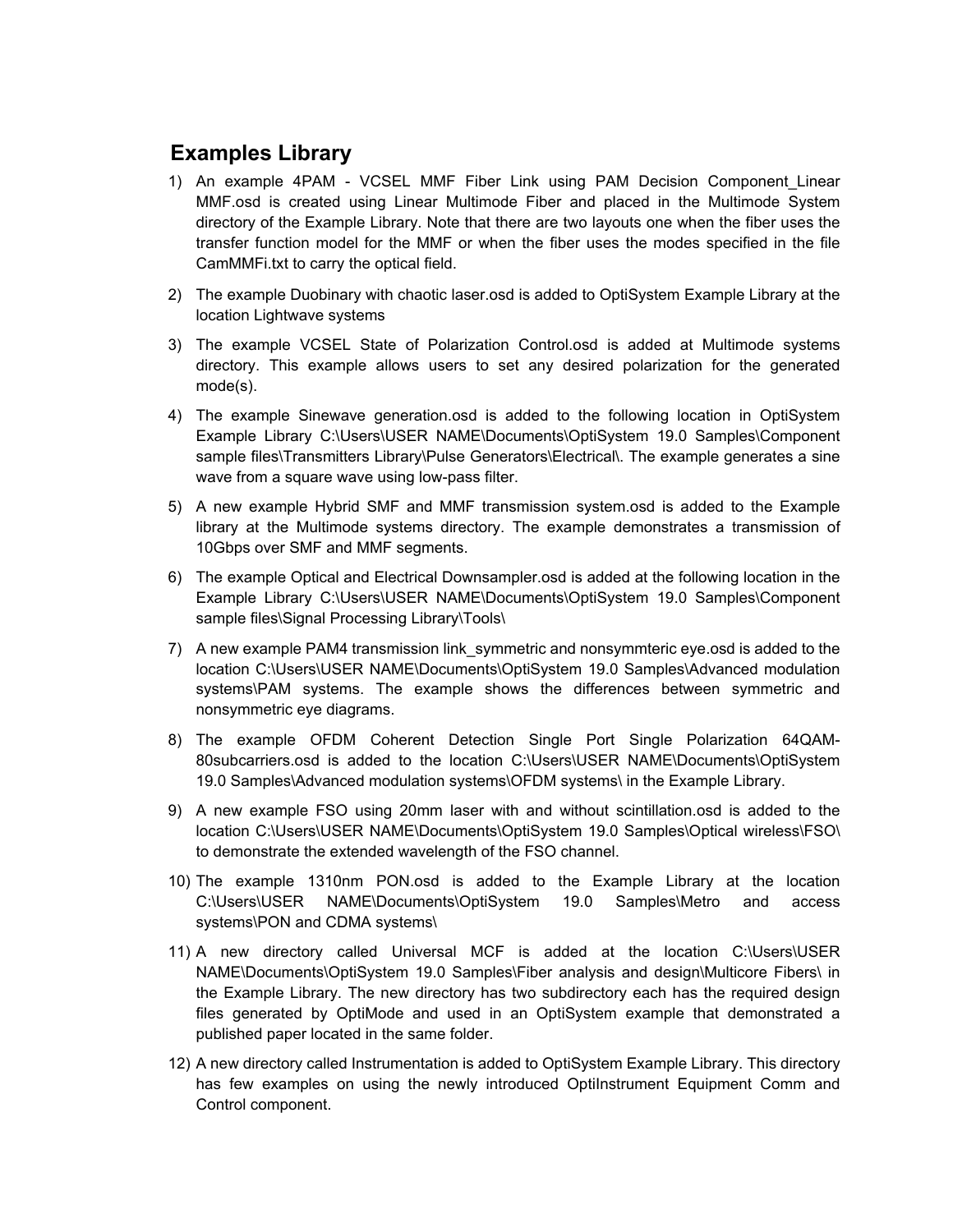### **Examples Library**

- 1) An example 4PAM VCSEL MMF Fiber Link using PAM Decision Component Linear MMF.osd is created using Linear Multimode Fiber and placed in the Multimode System directory of the Example Library. Note that there are two layouts one when the fiber uses the transfer function model for the MMF or when the fiber uses the modes specified in the file CamMMFi.txt to carry the optical field.
- 2) The example Duobinary with chaotic laser.osd is added to OptiSystem Example Library at the location Lightwave systems
- 3) The example VCSEL State of Polarization Control.osd is added at Multimode systems directory. This example allows users to set any desired polarization for the generated mode(s).
- 4) The example Sinewave generation.osd is added to the following location in OptiSystem Example Library C:\Users\USER NAME\Documents\OptiSystem 19.0 Samples\Component sample files\Transmitters Library\Pulse Generators\Electrical\. The example generates a sine wave from a square wave using low-pass filter.
- 5) A new example Hybrid SMF and MMF transmission system.osd is added to the Example library at the Multimode systems directory. The example demonstrates a transmission of 10Gbps over SMF and MMF segments.
- 6) The example Optical and Electrical Downsampler.osd is added at the following location in the Example Library C:\Users\USER NAME\Documents\OptiSystem 19.0 Samples\Component sample files\Signal Processing Library\Tools\
- 7) A new example PAM4 transmission link\_symmetric and nonsymmteric eye.osd is added to the location C:\Users\USER NAME\Documents\OptiSystem 19.0 Samples\Advanced modulation systems\PAM systems. The example shows the differences between symmetric and nonsymmetric eye diagrams.
- 8) The example OFDM Coherent Detection Single Port Single Polarization 64QAM-80subcarriers.osd is added to the location C:\Users\USER NAME\Documents\OptiSystem 19.0 Samples\Advanced modulation systems\OFDM systems\ in the Example Library.
- 9) A new example FSO using 20mm laser with and without scintillation.osd is added to the location C:\Users\USER NAME\Documents\OptiSystem 19.0 Samples\Optical wireless\FSO\ to demonstrate the extended wavelength of the FSO channel.
- 10) The example 1310nm PON.osd is added to the Example Library at the location C:\Users\USER NAME\Documents\OptiSystem 19.0 Samples\Metro and access systems\PON and CDMA systems\
- 11) A new directory called Universal MCF is added at the location C:\Users\USER NAME\Documents\OptiSystem 19.0 Samples\Fiber analysis and design\Multicore Fibers\ in the Example Library. The new directory has two subdirectory each has the required design files generated by OptiMode and used in an OptiSystem example that demonstrated a published paper located in the same folder.
- 12) A new directory called Instrumentation is added to OptiSystem Example Library. This directory has few examples on using the newly introduced OptiInstrument Equipment Comm and Control component.